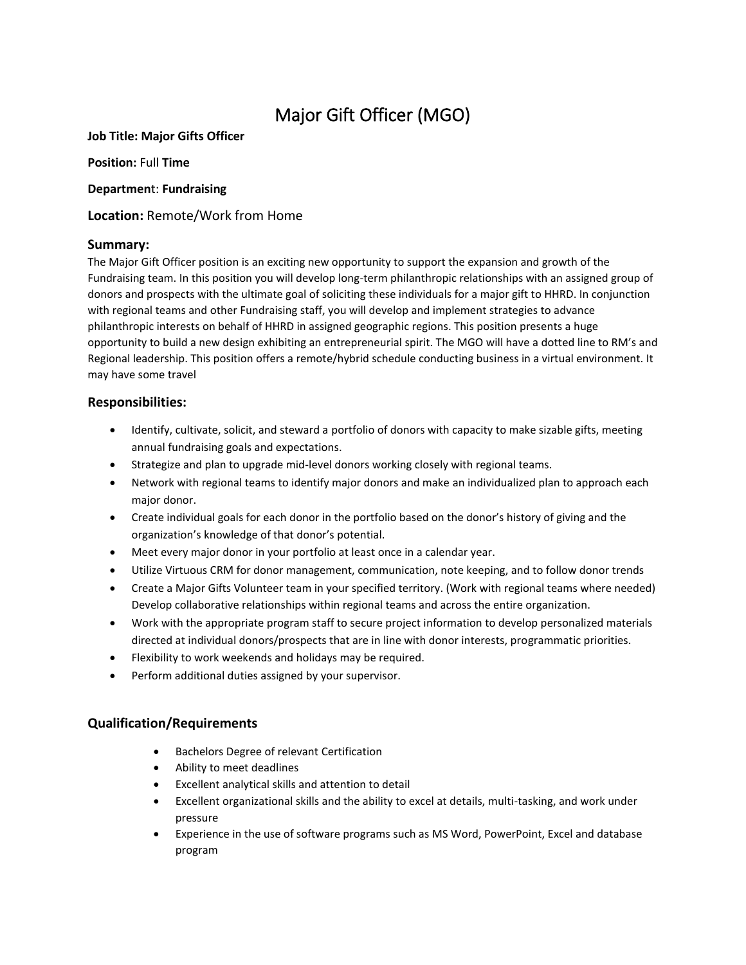# Major Gift Officer (MGO)

### **Job Title: Major Gifts Officer**

**Position:** Full **Time**

#### **Departmen**t: **Fundraising**

**Location:** Remote/Work from Home

### **Summary:**

The Major Gift Officer position is an exciting new opportunity to support the expansion and growth of the Fundraising team. In this position you will develop long-term philanthropic relationships with an assigned group of donors and prospects with the ultimate goal of soliciting these individuals for a major gift to HHRD. In conjunction with regional teams and other Fundraising staff, you will develop and implement strategies to advance philanthropic interests on behalf of HHRD in assigned geographic regions. This position presents a huge opportunity to build a new design exhibiting an entrepreneurial spirit. The MGO will have a dotted line to RM's and Regional leadership. This position offers a remote/hybrid schedule conducting business in a virtual environment. It may have some travel

### **Responsibilities:**

- Identify, cultivate, solicit, and steward a portfolio of donors with capacity to make sizable gifts, meeting annual fundraising goals and expectations.
- Strategize and plan to upgrade mid-level donors working closely with regional teams.
- Network with regional teams to identify major donors and make an individualized plan to approach each major donor.
- Create individual goals for each donor in the portfolio based on the donor's history of giving and the organization's knowledge of that donor's potential.
- Meet every major donor in your portfolio at least once in a calendar year.
- Utilize Virtuous CRM for donor management, communication, note keeping, and to follow donor trends
- Create a Major Gifts Volunteer team in your specified territory. (Work with regional teams where needed) Develop collaborative relationships within regional teams and across the entire organization.
- Work with the appropriate program staff to secure project information to develop personalized materials directed at individual donors/prospects that are in line with donor interests, programmatic priorities.
- Flexibility to work weekends and holidays may be required.
- Perform additional duties assigned by your supervisor.

## **Qualification/Requirements**

- Bachelors Degree of relevant Certification
- Ability to meet deadlines
- Excellent analytical skills and attention to detail
- Excellent organizational skills and the ability to excel at details, multi-tasking, and work under pressure
- Experience in the use of software programs such as MS Word, PowerPoint, Excel and database program